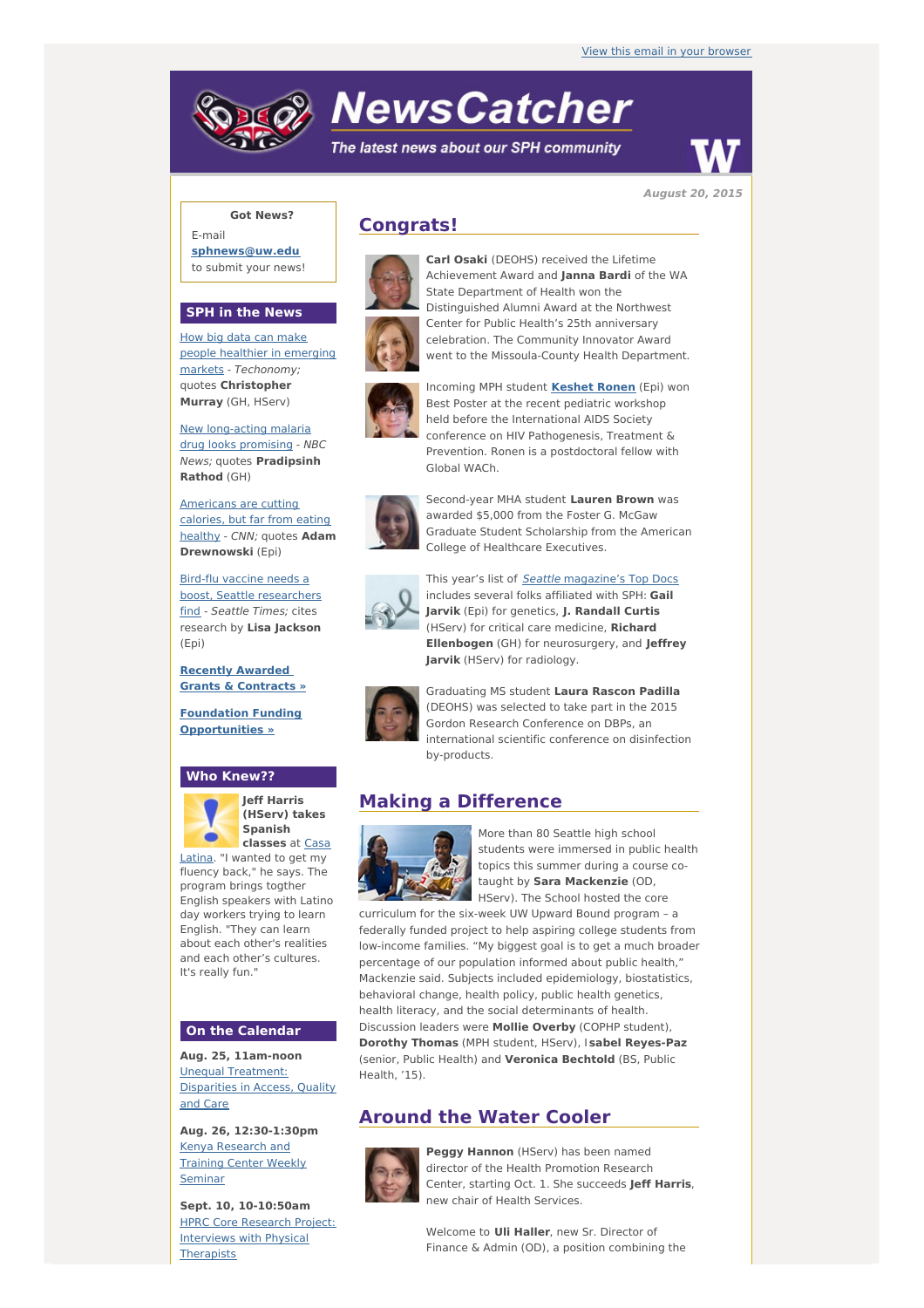# **NewsCatcher**

The latest news about our SPH community



**August 20, 2015**

## **Got News?**

E-mail **[sphnews@uw.edu](mailto:sphnews@uw.edu)** to submit your news!

### **SPH in the News**

How big data can make people healthier in emerging markets - [Techonomy;](http://engage.washington.edu/site/R?i=XiG8KA-aaq7Mf0kLBPVEZQ) quotes **Christopher Murray** (GH, HServ)

New [long-acting](http://engage.washington.edu/site/R?i=ksYFJ5RfAHHVR32zqRkZzg) malaria drug looks promising - NBC News; quotes **Pradipsinh Rathod** (GH)

[Americans](http://engage.washington.edu/site/R?i=9cMGRRbnMEwevEJTLHUwgA) are cutting calories, but far from eating healthy - CNN; quotes **Adam Drewnowski** (Epi)

Bird-flu vaccine needs a boost, Seattle [researchers](http://engage.washington.edu/site/R?i=5PjOJdTiZVs2-lqz91F2OA) find - Seattle Times; cites research by **Lisa Jackson** (Epi)

**Recently [Awarded](http://engage.washington.edu/site/R?i=Nov0rMMnCyfctI1iXZOQ_Q) Grants & Contracts »**

**Foundation Funding [Opportunities](http://engage.washington.edu/site/R?i=KK568Q7Y9fV3RWeFJt_idg) »**

#### **Who Knew??**



**Jeff Harris (HServ) takes Spanish [classes](http://engage.washington.edu/site/R?i=DR-S-vqGHElBi86iLWmfqw)** at Casa

Latina. "I wanted to get my fluency back," he says. The program brings togther English speakers with Latino day workers trying to learn English. "They can learn about each other's realities and each other's cultures. It's really fun."

### **On the Calendar**

**Aug. 25, 11am-noon** Unequal [Treatment:](http://engage.washington.edu/site/R?i=Z3cBxIo-oYx-LrWJ8wkgEA) Disparities in Access, Quality and Care

**Aug. 26, 12:30-1:30pm** Kenya [Research](http://engage.washington.edu/site/R?i=II4CXuk75r_qYlgHHa2vMw) and Training Center Weekly Seminar

**Sept. 10, 10-10:50am** HPRC Core Research Project: Interviews with Physical **[Therapists](http://engage.washington.edu/site/R?i=n-Y4CVsG7efapKkV7yXoGQ)** 

## **Congrats!**



**Carl Osaki** (DEOHS) received the Lifetime Achievement Award and **Janna Bardi** of the WA State Department of Health won the Distinguished Alumni Award at the Northwest Center for Public Health's 25th anniversary celebration. The Community Innovator Award went to the Missoula-County Health Department.



Incoming MPH student **[Keshet](http://engage.washington.edu/site/R?i=er5kfaUMn6yiyC0Q01kQsA) Ronen** (Epi) won Best Poster at the recent pediatric workshop held before the International AIDS Society conference on HIV Pathogenesis, Treatment & Prevention. Ronen is a postdoctoral fellow with Global WACh.



Second-year MHA student **Lauren Brown** was awarded \$5,000 from the Foster G. McGaw Graduate Student Scholarship from the American College of Healthcare Executives.



This year's list of **Seattle [magazine's](http://engage.washington.edu/site/R?i=RiFJVnrZ__ducPh9Fb7kmw) Top Docs** includes several folks affiliated with SPH: **Gail Jarvik** (Epi) for genetics, **J. Randall Curtis** (HServ) for critical care medicine, **Richard Ellenbogen** (GH) for neurosurgery, and **Jeffrey Jarvik** (HServ) for radiology.



Graduating MS student **Laura Rascon Padilla** (DEOHS) was selected to take part in the 2015 Gordon Research Conference on DBPs, an international scientific conference on disinfection by-products.

## **Making a Difference**



More than 80 Seattle high school students were immersed in public health topics this summer during a course cotaught by **Sara Mackenzie** (OD, HServ). The School hosted the core

curriculum for the six-week UW Upward Bound program – a federally funded project to help aspiring college students from low-income families. "My biggest goal is to get a much broader percentage of our population informed about public health," Mackenzie said. Subjects included epidemiology, biostatistics, behavioral change, health policy, public health genetics, health literacy, and the social determinants of health. Discussion leaders were **Mollie Overby** (COPHP student), **Dorothy Thomas** (MPH student, HServ), I **sabel Reyes-Paz** (senior, Public Health) and **Veronica Bechtold** (BS, Public Health, '15).

## **Around the Water Cooler**



**Peggy Hannon** (HServ) has been named director of the Health Promotion Research Center, starting Oct. 1. She succeeds **Jeff Harris**, new chair of Health Services.

Welcome to **Uli Haller**, new Sr. Director of Finance & Admin (OD), a position combining the